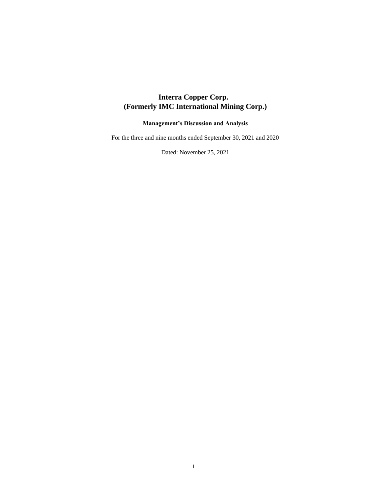# **Interra Copper Corp. (Formerly IMC International Mining Corp.)**

# **Management's Discussion and Analysis**

For the three and nine months ended September 30, 2021 and 2020

Dated: November 25, 2021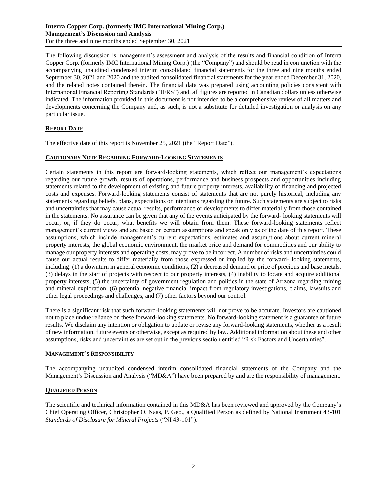The following discussion is management's assessment and analysis of the results and financial condition of Interra Copper Corp. (formerly IMC International Mining Corp.) (the "Company") and should be read in conjunction with the accompanying unaudited condensed interim consolidated financial statements for the three and nine months ended September 30, 2021 and 2020 and the audited consolidated financial statements for the year ended December 31, 2020, and the related notes contained therein. The financial data was prepared using accounting policies consistent with International Financial Reporting Standards ("IFRS") and, all figures are reported in Canadian dollars unless otherwise indicated. The information provided in this document is not intended to be a comprehensive review of all matters and developments concerning the Company and, as such, is not a substitute for detailed investigation or analysis on any particular issue.

# **REPORT DATE**

The effective date of this report is November 25, 2021 (the "Report Date").

# **CAUTIONARY NOTE REGARDING FORWARD-LOOKING STATEMENTS**

Certain statements in this report are forward-looking statements, which reflect our management's expectations regarding our future growth, results of operations, performance and business prospects and opportunities including statements related to the development of existing and future property interests, availability of financing and projected costs and expenses. Forward-looking statements consist of statements that are not purely historical, including any statements regarding beliefs, plans, expectations or intentions regarding the future. Such statements are subject to risks and uncertainties that may cause actual results, performance or developments to differ materially from those contained in the statements. No assurance can be given that any of the events anticipated by the forward- looking statements will occur, or, if they do occur, what benefits we will obtain from them. These forward-looking statements reflect management's current views and are based on certain assumptions and speak only as of the date of this report. These assumptions, which include management's current expectations, estimates and assumptions about current mineral property interests, the global economic environment, the market price and demand for commodities and our ability to manage our property interests and operating costs, may prove to be incorrect. A number of risks and uncertainties could cause our actual results to differ materially from those expressed or implied by the forward- looking statements, including: (1) a downturn in general economic conditions, (2) a decreased demand or price of precious and base metals, (3) delays in the start of projects with respect to our property interests, (4) inability to locate and acquire additional property interests, (5) the uncertainty of government regulation and politics in the state of Arizona regarding mining and mineral exploration, (6) potential negative financial impact from regulatory investigations, claims, lawsuits and other legal proceedings and challenges, and (7) other factors beyond our control.

There is a significant risk that such forward-looking statements will not prove to be accurate. Investors are cautioned not to place undue reliance on these forward-looking statements. No forward-looking statement is a guarantee of future results. We disclaim any intention or obligation to update or revise any forward-looking statements, whether as a result of new information, future events or otherwise, except as required by law. Additional information about these and other assumptions, risks and uncertainties are set out in the previous section entitled "Risk Factors and Uncertainties".

#### **MANAGEMENT'S RESPONSIBILITY**

The accompanying unaudited condensed interim consolidated financial statements of the Company and the Management's Discussion and Analysis ("MD&A") have been prepared by and are the responsibility of management.

# **QUALIFIED PERSON**

The scientific and technical information contained in this MD&A has been reviewed and approved by the Company's Chief Operating Officer, Christopher O. Naas, P. Geo., a Qualified Person as defined by National Instrument 43-101 *Standards of Disclosure for Mineral Projects* ("NI 43-101").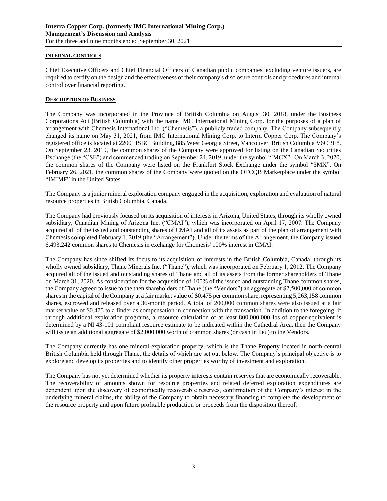# **INTERNAL CONTROLS**

Chief Executive Officers and Chief Financial Officers of Canadian public companies, excluding venture issuers, are required to certify on the design and the effectiveness of their company's disclosure controls and procedures and internal control over financial reporting.

# **DESCRIPTION OF BUSINESS**

The Company was incorporated in the Province of British Columbia on August 30, 2018, under the Business Corporations Act (British Columbia) with the name IMC International Mining Corp. for the purposes of a plan of arrangement with Chemesis International Inc. ("Chemesis"), a publicly traded company. The Company subsequently changed its name on May 31, 2021, from IMC International Mining Corp. to Interra Copper Corp. The Company's registered office is located at 2200 HSBC Building, 885 West Georgia Street, Vancouver, British Columbia V6C 3E8. On September 23, 2019, the common shares of the Company were approved for listing on the Canadian Securities Exchange (the "CSE") and commenced trading on September 24, 2019, under the symbol "IMCX". On March 3, 2020, the common shares of the Company were listed on the Frankfurt Stock Exchange under the symbol "3MX". On February 26, 2021, the common shares of the Company were quoted on the OTCQB Marketplace under the symbol "IMIMF" in the United States.

The Company is a junior mineral exploration company engaged in the acquisition, exploration and evaluation of natural resource properties in British Columbia, Canada.

The Company had previously focused on its acquisition of interests in Arizona, United States, through its wholly owned subsidiary, Canadian Mining of Arizona Inc. ("CMAI"), which was incorporated on April 17, 2007. The Company acquired all of the issued and outstanding shares of CMAI and all of its assets as part of the plan of arrangement with Chemesis completed February 1, 2019 (the "Arrangement"). Under the terms of the Arrangement, the Company issued 6,493,242 common shares to Chemesis in exchange for Chemesis' 100% interest in CMAI.

The Company has since shifted its focus to its acquisition of interests in the British Columbia, Canada, through its wholly owned subsidiary, Thane Minerals Inc. ("Thane"), which was incorporated on February 1, 2012. The Company acquired all of the issued and outstanding shares of Thane and all of its assets from the former shareholders of Thane on March 31, 2020. As consideration for the acquisition of 100% of the issued and outstanding Thane common shares, the Company agreed to issue to the then shareholders of Thane (the "Vendors") an aggregate of \$2,500,000 of common shares in the capital of the Company at a fair market value of \$0.475 per common share, representing 5,263,158 common shares, escrowed and released over a 36-month period. A total of 200,000 common shares were also issued at a fair market value of \$0.475 to a finder as compensation in connection with the transaction. In addition to the foregoing, if through additional exploration programs, a resource calculation of at least 800,000,000 lbs of copper-equivalent is determined by a NI 43-101 compliant resource estimate to be indicated within the Cathedral Area, then the Company will issue an additional aggregate of \$2,000,000 worth of common shares (or cash in lieu) to the Vendors.

The Company currently has one mineral exploration property, which is the Thane Property located in north-central British Columbia held through Thane, the details of which are set out below. The Company's principal objective is to explore and develop its properties and to identify other properties worthy of investment and exploration.

The Company has not yet determined whether its property interests contain reserves that are economically recoverable. The recoverability of amounts shown for resource properties and related deferred exploration expenditures are dependent upon the discovery of economically recoverable reserves, confirmation of the Company's interest in the underlying mineral claims, the ability of the Company to obtain necessary financing to complete the development of the resource property and upon future profitable production or proceeds from the disposition thereof.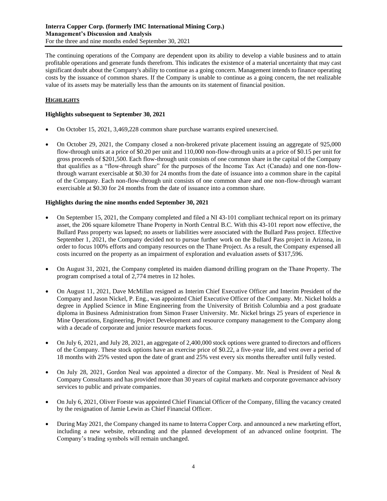The continuing operations of the Company are dependent upon its ability to develop a viable business and to attain profitable operations and generate funds therefrom. This indicates the existence of a material uncertainty that may cast significant doubt about the Company's ability to continue as a going concern. Management intends to finance operating costs by the issuance of common shares. If the Company is unable to continue as a going concern, the net realizable value of its assets may be materially less than the amounts on its statement of financial position.

# **HIGHLIGHTS**

# **Highlights subsequent to September 30, 2021**

- On October 15, 2021, 3,469,228 common share purchase warrants expired unexercised.
- On October 29, 2021, the Company closed a non-brokered private placement issuing an aggregate of 925,000 flow-through units at a price of \$0.20 per unit and 110,000 non-flow-through units at a price of \$0.15 per unit for gross proceeds of \$201,500. Each flow-through unit consists of one common share in the capital of the Company that qualifies as a "flow-through share" for the purposes of the Income Tax Act (Canada) and one non-flowthrough warrant exercisable at \$0.30 for 24 months from the date of issuance into a common share in the capital of the Company. Each non-flow-through unit consists of one common share and one non-flow-through warrant exercisable at \$0.30 for 24 months from the date of issuance into a common share.

# **Highlights during the nine months ended September 30, 2021**

- On September 15, 2021, the Company completed and filed a NI 43-101 compliant technical report on its primary asset, the 206 square kilometre Thane Property in North Central B.C. With this 43-101 report now effective, the Bullard Pass property was lapsed; no assets or liabilities were associated with the Bullard Pass project. Effective September 1, 2021, the Company decided not to pursue further work on the Bullard Pass project in Arizona, in order to focus 100% efforts and company resources on the Thane Project. As a result, the Company expensed all costs incurred on the property as an impairment of exploration and evaluation assets of \$317,596.
- On August 31, 2021, the Company completed its maiden diamond drilling program on the Thane Property. The program comprised a total of 2,774 metres in 12 holes.
- On August 11, 2021, Dave McMillan resigned as Interim Chief Executive Officer and Interim President of the Company and Jason Nickel, P. Eng., was appointed Chief Executive Officer of the Company. Mr. Nickel holds a degree in Applied Science in Mine Engineering from the University of British Columbia and a post graduate diploma in Business Administration from Simon Fraser University. Mr. Nickel brings 25 years of experience in Mine Operations, Engineering, Project Development and resource company management to the Company along with a decade of corporate and junior resource markets focus.
- On July 6, 2021, and July 28, 2021, an aggregate of 2,400,000 stock options were granted to directors and officers of the Company. These stock options have an exercise price of \$0.22, a five-year life, and vest over a period of 18 months with 25% vested upon the date of grant and 25% vest every six months thereafter until fully vested.
- On July 28, 2021, Gordon Neal was appointed a director of the Company. Mr. Neal is President of Neal & Company Consultants and has provided more than 30 years of capital markets and corporate governance advisory services to public and private companies.
- On July 6, 2021, Oliver Foeste was appointed Chief Financial Officer of the Company, filling the vacancy created by the resignation of Jamie Lewin as Chief Financial Officer.
- During May 2021, the Company changed its name to Interra Copper Corp. and announced a new marketing effort, including a new website, rebranding and the planned development of an advanced online footprint. The Company's trading symbols will remain unchanged.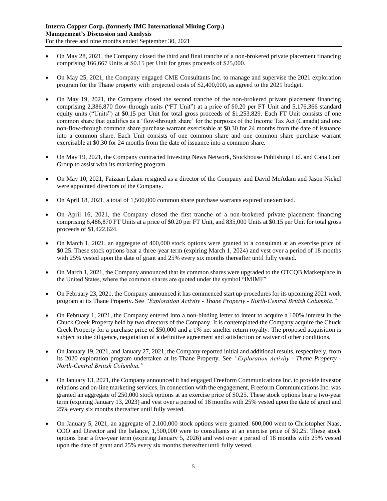- On May 28, 2021, the Company closed the third and final tranche of a non-brokered private placement financing comprising 166,667 Units at \$0.15 per Unit for gross proceeds of \$25,000.
- On May 25, 2021, the Company engaged CME Consultants Inc. to manage and supervise the 2021 exploration program for the Thane property with projected costs of \$2,400,000, as agreed to the 2021 budget.
- On May 19, 2021, the Company closed the second tranche of the non-brokered private placement financing comprising 2,386,870 flow-through units ("FT Unit") at a price of \$0.20 per FT Unit and 5,176,366 standard equity units ("Units") at \$0.15 per Unit for total gross proceeds of \$1,253,829. Each FT Unit consists of one common share that qualifies as a 'flow-through share' for the purposes of the Income Tax Act (Canada) and one non-flow-through common share purchase warrant exercisable at \$0.30 for 24 months from the date of issuance into a common share. Each Unit consists of one common share and one common share purchase warrant exercisable at \$0.30 for 24 months from the date of issuance into a common share.
- On May 19, 2021, the Company contracted Investing News Network, Stockhouse Publishing Ltd. and Cana Com Group to assist with its marketing program.
- On May 10, 2021, Faizaan Lalani resigned as a director of the Company and David McAdam and Jason Nickel were appointed directors of the Company.
- On April 18, 2021, a total of 1,500,000 common share purchase warrants expired unexercised.
- On April 16, 2021, the Company closed the first tranche of a non-brokered private placement financing comprising 6,486,870 FT Units at a price of \$0.20 per FT Unit, and 835,000 Units at \$0.15 per Unit for total gross proceeds of \$1,422,624.
- On March 1, 2021, an aggregate of 400,000 stock options were granted to a consultant at an exercise price of \$0.25. These stock options bear a three-year term (expiring March 1, 2024) and vest over a period of 18 months with 25% vested upon the date of grant and 25% every six months thereafter until fully vested.
- On March 1, 2021, the Company announced that its common shares were upgraded to the OTCQB Marketplace in the United States, where the common shares are quoted under the symbol "IMIMF"
- On February 23, 2021, the Company announced it has commenced start up procedures for its upcoming 2021 work program at its Thane Property. See *"Exploration Activity - Thane Property - North-Central British Columbia."*
- On February 1, 2021, the Company entered into a non-binding letter to intent to acquire a 100% interest in the Chuck Creek Property held by two directors of the Company. It is contemplated the Company acquire the Chuck Creek Property for a purchase price of \$50,000 and a 1% net smelter return royalty. The proposed acquisition is subject to due diligence, negotiation of a definitive agreement and satisfaction or waiver of other conditions.
- On January 19, 2021, and January 27, 2021, the Company reported initial and additional results, respectively, from its 2020 exploration program undertaken at its Thane Property. See *"Exploration Activity - Thane Property - North-Central British Columbia."*
- On January 13, 2021, the Company announced it had engaged Freeform Communications Inc. to provide investor relations and on-line marketing services. In connection with the engagement, Freeform Communications Inc. was granted an aggregate of 250,000 stock options at an exercise price of \$0.25. These stock options bear a two-year term (expiring January 13, 2023) and vest over a period of 18 months with 25% vested upon the date of grant and 25% every six months thereafter until fully vested.
- On January 5, 2021, an aggregate of 2,100,000 stock options were granted. 600,000 went to Christopher Naas, COO and Director and the balance, 1,500,000 were to consultants at an exercise price of \$0.25. These stock options bear a five-year term (expiring January 5, 2026) and vest over a period of 18 months with 25% vested upon the date of grant and 25% every six months thereafter until fully vested.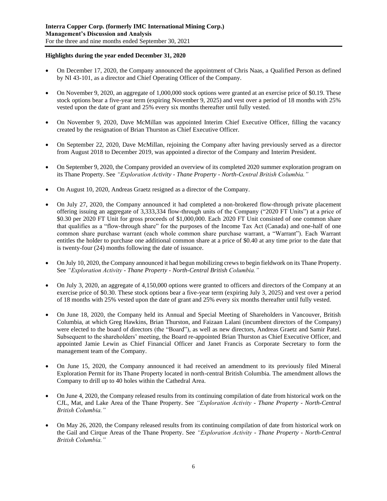# **Highlights during the year ended December 31, 2020**

- On December 17, 2020, the Company announced the appointment of Chris Naas, a Qualified Person as defined by NI 43-101, as a director and Chief Operating Officer of the Company.
- On November 9, 2020, an aggregate of 1,000,000 stock options were granted at an exercise price of \$0.19. These stock options bear a five-year term (expiring November 9, 2025) and vest over a period of 18 months with 25% vested upon the date of grant and 25% every six months thereafter until fully vested.
- On November 9, 2020, Dave McMillan was appointed Interim Chief Executive Officer, filling the vacancy created by the resignation of Brian Thurston as Chief Executive Officer.
- On September 22, 2020, Dave McMillan, rejoining the Company after having previously served as a director from August 2018 to December 2019, was appointed a director of the Company and Interim President.
- On September 9, 2020, the Company provided an overview of its completed 2020 summer exploration program on its Thane Property. See *"Exploration Activity - Thane Property - North-Central British Columbia."*
- On August 10, 2020, Andreas Graetz resigned as a director of the Company.
- On July 27, 2020, the Company announced it had completed a non-brokered flow-through private placement offering issuing an aggregate of 3,333,334 flow-through units of the Company ("2020 FT Units") at a price of \$0.30 per 2020 FT Unit for gross proceeds of \$1,000,000. Each 2020 FT Unit consisted of one common share that qualifies as a "flow-through share" for the purposes of the Income Tax Act (Canada) and one-half of one common share purchase warrant (each whole common share purchase warrant, a "Warrant"). Each Warrant entitles the holder to purchase one additional common share at a price of \$0.40 at any time prior to the date that is twenty-four (24) months following the date of issuance.
- On July 10, 2020, the Company announced it had begun mobilizing crews to begin fieldwork on its Thane Property. See *"Exploration Activity - Thane Property - North-Central British Columbia."*
- On July 3, 2020, an aggregate of 4,150,000 options were granted to officers and directors of the Company at an exercise price of \$0.30. These stock options bear a five-year term (expiring July 3, 2025) and vest over a period of 18 months with 25% vested upon the date of grant and 25% every six months thereafter until fully vested.
- On June 18, 2020, the Company held its Annual and Special Meeting of Shareholders in Vancouver, British Columbia, at which Greg Hawkins, Brian Thurston, and Faizaan Lalani (incumbent directors of the Company) were elected to the board of directors (the "Board"), as well as new directors, Andreas Graetz and Samir Patel. Subsequent to the shareholders' meeting, the Board re-appointed Brian Thurston as Chief Executive Officer, and appointed Jamie Lewin as Chief Financial Officer and Janet Francis as Corporate Secretary to form the management team of the Company.
- On June 15, 2020, the Company announced it had received an amendment to its previously filed Mineral Exploration Permit for its Thane Property located in north-central British Columbia. The amendment allows the Company to drill up to 40 holes within the Cathedral Area.
- On June 4, 2020, the Company released results from its continuing compilation of date from historical work on the CJL, Mat, and Lake Area of the Thane Property. See *"Exploration Activity - Thane Property - North-Central British Columbia."*
- On May 26, 2020, the Company released results from its continuing compilation of date from historical work on the Gail and Cirque Areas of the Thane Property. See *"Exploration Activity - Thane Property - North-Central British Columbia."*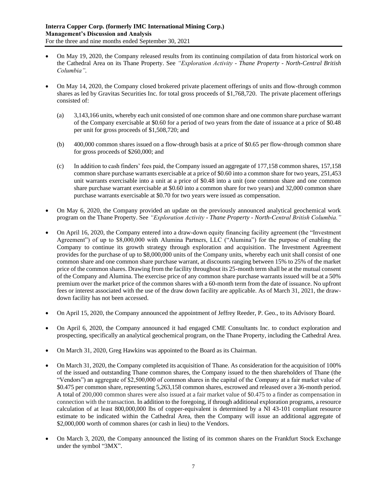- On May 19, 2020, the Company released results from its continuing compilation of data from historical work on the Cathedral Area on its Thane Property. See *"Exploration Activity - Thane Property - North-Central British Columbia".*
- On May 14, 2020, the Company closed brokered private placement offerings of units and flow-through common shares as led by Gravitas Securities Inc. for total gross proceeds of \$1,768,720. The private placement offerings consisted of:
	- (a) 3,143,166 units, whereby each unit consisted of one common share and one common share purchase warrant of the Company exercisable at \$0.60 for a period of two years from the date of issuance at a price of \$0.48 per unit for gross proceeds of \$1,508,720; and
	- (b) 400,000 common shares issued on a flow-through basis at a price of \$0.65 per flow-through common share for gross proceeds of \$260,000; and
	- (c) In addition to cash finders' fees paid, the Company issued an aggregate of 177,158 common shares, 157,158 common share purchase warrants exercisable at a price of \$0.60 into a common share for two years, 251,453 unit warrants exercisable into a unit at a price of \$0.48 into a unit (one common share and one common share purchase warrant exercisable at \$0.60 into a common share for two years) and 32,000 common share purchase warrants exercisable at \$0.70 for two years were issued as compensation.
- On May 6, 2020, the Company provided an update on the previously announced analytical geochemical work program on the Thane Property. See *"Exploration Activity - Thane Property - North-Central British Columbia."*
- On April 16, 2020, the Company entered into a draw-down equity financing facility agreement (the "Investment Agreement") of up to \$8,000,000 with Alumina Partners, LLC ("Alumina") for the purpose of enabling the Company to continue its growth strategy through exploration and acquisition. The Investment Agreement provides for the purchase of up to \$8,000,000 units of the Company units, whereby each unit shall consist of one common share and one common share purchase warrant, at discounts ranging between 15% to 25% of the market price of the common shares. Drawing from the facility throughout its 25-month term shall be at the mutual consent of the Company and Alumina. The exercise price of any common share purchase warrants issued will be at a 50% premium over the market price of the common shares with a 60-month term from the date of issuance. No upfront fees or interest associated with the use of the draw down facility are applicable. As of March 31, 2021, the drawdown facility has not been accessed.
- On April 15, 2020, the Company announced the appointment of Jeffrey Reeder, P. Geo., to its Advisory Board.
- On April 6, 2020, the Company announced it had engaged CME Consultants Inc. to conduct exploration and prospecting, specifically an analytical geochemical program, on the Thane Property, including the Cathedral Area.
- On March 31, 2020, Greg Hawkins was appointed to the Board as its Chairman.
- On March 31, 2020, the Company completed its acquisition of Thane. As consideration for the acquisition of 100% of the issued and outstanding Thane common shares, the Company issued to the then shareholders of Thane (the "Vendors") an aggregate of \$2,500,000 of common shares in the capital of the Company at a fair market value of \$0.475 per common share, representing 5,263,158 common shares, escrowed and released over a 36-month period. A total of 200,000 common shares were also issued at a fair market value of \$0.475 to a finder as compensation in connection with the transaction. In addition to the foregoing, if through additional exploration programs, a resource calculation of at least 800,000,000 lbs of copper-equivalent is determined by a NI 43-101 compliant resource estimate to be indicated within the Cathedral Area, then the Company will issue an additional aggregate of \$2,000,000 worth of common shares (or cash in lieu) to the Vendors.
- On March 3, 2020, the Company announced the listing of its common shares on the Frankfurt Stock Exchange under the symbol "3MX".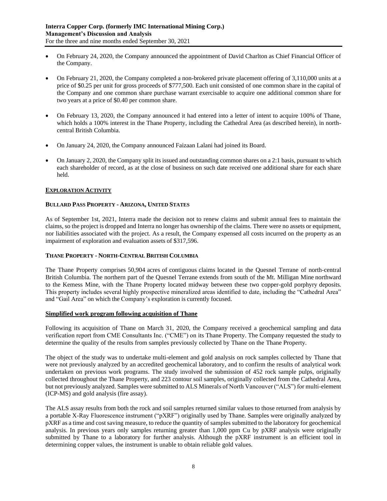- On February 24, 2020, the Company announced the appointment of David Charlton as Chief Financial Officer of the Company.
- On February 21, 2020, the Company completed a non-brokered private placement offering of 3,110,000 units at a price of \$0.25 per unit for gross proceeds of \$777,500. Each unit consisted of one common share in the capital of the Company and one common share purchase warrant exercisable to acquire one additional common share for two years at a price of \$0.40 per common share.
- On February 13, 2020, the Company announced it had entered into a letter of intent to acquire 100% of Thane, which holds a 100% interest in the Thane Property, including the Cathedral Area (as described herein), in northcentral British Columbia.
- On January 24, 2020, the Company announced Faizaan Lalani had joined its Board.
- On January 2, 2020, the Company split its issued and outstanding common shares on a 2:1 basis, pursuant to which each shareholder of record, as at the close of business on such date received one additional share for each share held.

# **EXPLORATION ACTIVITY**

# **BULLARD PASS PROPERTY - ARIZONA, UNITED STATES**

As of September 1st, 2021, Interra made the decision not to renew claims and submit annual fees to maintain the claims, so the project is dropped and Interra no longer has ownership of the claims. There were no assets or equipment, nor liabilities associated with the project. As a result, the Company expensed all costs incurred on the property as an impairment of exploration and evaluation assets of \$317,596.

#### **THANE PROPERTY - NORTH-CENTRAL BRITISH COLUMBIA**

The Thane Property comprises 50,904 acres of contiguous claims located in the Quesnel Terrane of north-central British Columbia. The northern part of the Quesnel Terrane extends from south of the Mt. Milligan Mine northward to the Kemess Mine, with the Thane Property located midway between these two copper-gold porphyry deposits. This property includes several highly prospective mineralized areas identified to date, including the "Cathedral Area" and "Gail Area" on which the Company's exploration is currently focused.

#### **Simplified work program following acquisition of Thane**

Following its acquisition of Thane on March 31, 2020, the Company received a geochemical sampling and data verification report from CME Consultants Inc. ("CME") on its Thane Property. The Company requested the study to determine the quality of the results from samples previously collected by Thane on the Thane Property.

The object of the study was to undertake multi-element and gold analysis on rock samples collected by Thane that were not previously analyzed by an accredited geochemical laboratory, and to confirm the results of analytical work undertaken on previous work programs. The study involved the submission of 452 rock sample pulps, originally collected throughout the Thane Property, and 223 contour soil samples, originally collected from the Cathedral Area, but not previously analyzed. Samples were submitted to ALS Minerals of North Vancouver ("ALS") for multi-element (ICP-MS) and gold analysis (fire assay).

The ALS assay results from both the rock and soil samples returned similar values to those returned from analysis by a portable X-Ray Fluorescence instrument ("pXRF") originally used by Thane. Samples were originally analyzed by pXRF as a time and cost saving measure, to reduce the quantity of samples submitted to the laboratory for geochemical analysis. In previous years only samples returning greater than 1,000 ppm Cu by pXRF analysis were originally submitted by Thane to a laboratory for further analysis. Although the pXRF instrument is an efficient tool in determining copper values, the instrument is unable to obtain reliable gold values.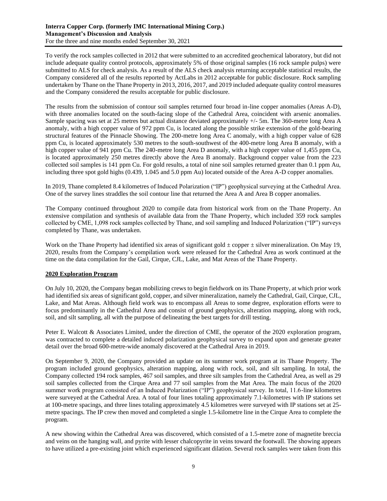To verify the rock samples collected in 2012 that were submitted to an accredited geochemical laboratory, but did not include adequate quality control protocols, approximately 5% of those original samples (16 rock sample pulps) were submitted to ALS for check analysis. As a result of the ALS check analysis returning acceptable statistical results, the Company considered all of the results reported by ActLabs in 2012 acceptable for public disclosure. Rock sampling undertaken by Thane on the Thane Property in 2013, 2016, 2017, and 2019 included adequate quality control measures and the Company considered the results acceptable for public disclosure.

The results from the submission of contour soil samples returned four broad in-line copper anomalies (Areas A-D), with three anomalies located on the south-facing slope of the Cathedral Area, coincident with arsenic anomalies. Sample spacing was set at 25 metres but actual distance deviated approximately +/- 5m. The 360-metre long Area A anomaly, with a high copper value of 972 ppm Cu, is located along the possible strike extension of the gold-bearing structural features of the Pinnacle Showing. The 200-metre long Area C anomaly, with a high copper value of 628 ppm Cu, is located approximately 530 metres to the south-southwest of the 400-metre long Area B anomaly, with a high copper value of 941 ppm Cu. The 240-metre long Area D anomaly, with a high copper value of 1,455 ppm Cu, is located approximately 250 metres directly above the Area B anomaly. Background copper value from the 223 collected soil samples is 141 ppm Cu. For gold results, a total of nine soil samples returned greater than 0.1 ppm Au, including three spot gold highs (0.439, 1.045 and 5.0 ppm Au) located outside of the Area A-D copper anomalies.

In 2019, Thane completed 8.4 kilometres of Induced Polarization ("IP") geophysical surveying at the Cathedral Area. One of the survey lines straddles the soil contour line that returned the Area A and Area B copper anomalies.

The Company continued throughout 2020 to compile data from historical work from on the Thane Property. An extensive compilation and synthesis of available data from the Thane Property, which included 359 rock samples collected by CME, 1,098 rock samples collected by Thane, and soil sampling and Induced Polarization ("IP") surveys completed by Thane, was undertaken.

Work on the Thane Property had identified six areas of significant gold  $\pm$  copper  $\pm$  silver mineralization. On May 19, 2020, results from the Company's compilation work were released for the Cathedral Area as work continued at the time on the data compilation for the Gail, Cirque, CJL, Lake, and Mat Areas of the Thane Property.

# **2020 Exploration Program**

On July 10, 2020, the Company began mobilizing crews to begin fieldwork on its Thane Property, at which prior work had identified six areas of significant gold, copper, and silver mineralization, namely the Cathedral, Gail, Cirque, CJL, Lake, and Mat Areas. Although field work was to encompass all Areas to some degree, exploration efforts were to focus predominantly in the Cathedral Area and consist of ground geophysics, alteration mapping, along with rock, soil, and silt sampling, all with the purpose of delineating the best targets for drill testing.

Peter E. Walcott & Associates Limited, under the direction of CME, the operator of the 2020 exploration program, was contracted to complete a detailed induced polarization geophysical survey to expand upon and generate greater detail over the broad 600-metre-wide anomaly discovered at the Cathedral Area in 2019.

On September 9, 2020, the Company provided an update on its summer work program at its Thane Property. The program included ground geophysics, alteration mapping, along with rock, soil, and silt sampling. In total, the Company collected 194 rock samples, 467 soil samples, and three silt samples from the Cathedral Area, as well as 29 soil samples collected from the Cirque Area and 77 soil samples from the Mat Area. The main focus of the 2020 summer work program consisted of an Induced Polarization ("IP") geophysical survey. In total, 11.6-line kilometres were surveyed at the Cathedral Area. A total of four lines totaling approximately 7.1-kilometres with IP stations set at 100-metre spacings, and three lines totaling approximately 4.5 kilometres were surveyed with IP stations set at 25 metre spacings. The IP crew then moved and completed a single 1.5-kilometre line in the Cirque Area to complete the program.

A new showing within the Cathedral Area was discovered, which consisted of a 1.5-metre zone of magnetite breccia and veins on the hanging wall, and pyrite with lesser chalcopyrite in veins toward the footwall. The showing appears to have utilized a pre-existing joint which experienced significant dilation. Several rock samples were taken from this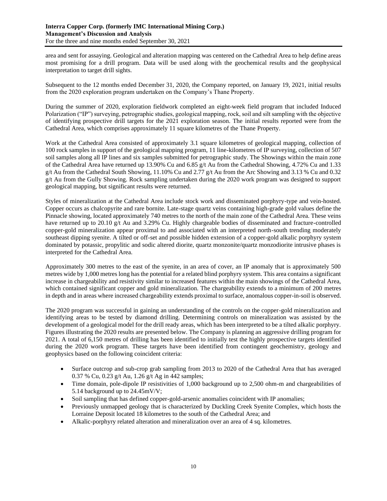area and sent for assaying. Geological and alteration mapping was centered on the Cathedral Area to help define areas most promising for a drill program. Data will be used along with the geochemical results and the geophysical interpretation to target drill sights.

Subsequent to the 12 months ended December 31, 2020, the Company reported, on January 19, 2021, initial results from the 2020 exploration program undertaken on the Company's Thane Property.

During the summer of 2020, exploration fieldwork completed an eight-week field program that included Induced Polarization ("IP") surveying, petrographic studies, geological mapping, rock, soil and silt sampling with the objective of identifying prospective drill targets for the 2021 exploration season. The initial results reported were from the Cathedral Area, which comprises approximately 11 square kilometres of the Thane Property.

Work at the Cathedral Area consisted of approximately 3.1 square kilometres of geological mapping, collection of 100 rock samples in support of the geological mapping program, 11 line-kilometres of IP surveying, collection of 507 soil samples along all IP lines and six samples submitted for petrographic study. The Showings within the main zone of the Cathedral Area have returned up 13.90% Cu and 6.85 g/t Au from the Cathedral Showing, 4.72% Cu and 1.33 g/t Au from the Cathedral South Showing, 11.10% Cu and 2.77 g/t Au from the Arc Showing and 3.13 % Cu and 0.32 g/t Au from the Gully Showing. Rock sampling undertaken during the 2020 work program was designed to support geological mapping, but significant results were returned.

Styles of mineralization at the Cathedral Area include stock work and disseminated porphyry-type and vein-hosted. Copper occurs as chalcopyrite and rare bornite. Late-stage quartz veins containing high-grade gold values define the Pinnacle showing, located approximately 740 metres to the north of the main zone of the Cathedral Area. These veins have returned up to 20.10 g/t Au and 3.29% Cu. Highly chargeable bodies of disseminated and fracture-controlled copper-gold mineralization appear proximal to and associated with an interpreted north-south trending moderately southeast dipping syenite. A tilted or off-set and possible hidden extension of a copper-gold alkalic porphyry system dominated by potassic, propylitic and sodic altered diorite, quartz monzonite/quartz monzodiorite intrusive phases is interpreted for the Cathedral Area.

Approximately 300 metres to the east of the syenite, in an area of cover, an IP anomaly that is approximately 500 metres wide by 1,000 metres long has the potential for a related blind porphyry system. This area contains a significant increase in chargeability and resistivity similar to increased features within the main showings of the Cathedral Area, which contained significant copper and gold mineralization. The chargeability extends to a minimum of 200 metres in depth and in areas where increased chargeability extends proximal to surface, anomalous copper-in-soil is observed.

The 2020 program was successful in gaining an understanding of the controls on the copper-gold mineralization and identifying areas to be tested by diamond drilling. Determining controls on mineralization was assisted by the development of a geological model for the drill ready areas, which has been interpreted to be a tilted alkalic porphyry. Figures illustrating the 2020 results are presented below. The Company is planning an aggressive drilling program for 2021. A total of 6,150 metres of drilling has been identified to initially test the highly prospective targets identified during the 2020 work program. These targets have been identified from contingent geochemistry, geology and geophysics based on the following coincident criteria:

- Surface outcrop and sub-crop grab sampling from 2013 to 2020 of the Cathedral Area that has averaged 0.37 % Cu, 0.23 g/t Au, 1.26 g/t Ag in 442 samples;
- Time domain, pole-dipole IP resistivities of 1,000 background up to 2,500 ohm-m and chargeabilities of 5.14 background up to 24.45mV/V;
- Soil sampling that has defined copper-gold-arsenic anomalies coincident with IP anomalies;
- Previously unmapped geology that is characterized by Duckling Creek Syenite Complex, which hosts the Lorraine Deposit located 18 kilometres to the south of the Cathedral Area; and
- Alkalic-porphyry related alteration and mineralization over an area of 4 sq. kilometres.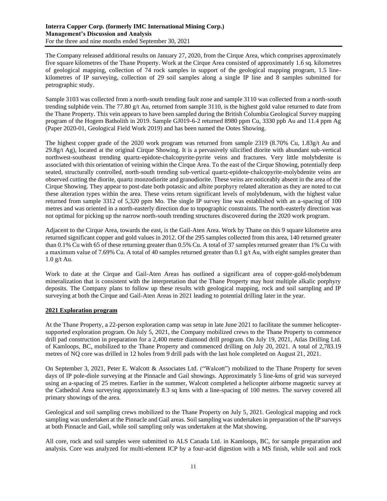The Company released additional results on January 27, 2020, from the Cirque Area, which comprises approximately five square kilometres of the Thane Property. Work at the Cirque Area consisted of approximately 1.6 sq. kilometres of geological mapping, collection of 74 rock samples in support of the geological mapping program, 1.5 linekilometres of IP surveying, collection of 29 soil samples along a single IP line and 8 samples submitted for petrographic study.

Sample 3103 was collected from a north-south trending fault zone and sample 3110 was collected from a north-south trending sulphide vein. The 77.80 g/t Au, returned from sample 3110, is the highest gold value returned to date from the Thane Property. This vein appears to have been sampled during the British Columbia Geological Survey mapping program of the Hogem Batholith in 2019. Sample GJ019-6-2 returned 8980 ppm Cu, 3330 ppb Au and 11.4 ppm Ag (Paper 2020-01, Geological Field Work 2019) and has been named the Ootes Showing.

The highest copper grade of the 2020 work program was returned from sample 2319 (8.70% Cu, 1.83g/t Au and  $29.8g/t$  Ag), located at the original Cirque Showing. It is a pervasively silicified diorite with abundant sub-vertical northwest-southeast trending quartz-epidote-chalcopyrite-pyrite veins and fractures. Very little molybdenite is associated with this orientation of veining within the Cirque Area. To the east of the Cirque Showing, potentially deep seated, structurally controlled, north-south trending sub-vertical quartz-epidote-chalcopyrite-molybdenite veins are observed cutting the diorite, quartz monzodiorite and granodiorite. These veins are noticeably absent in the area of the Cirque Showing. They appear to post-date both potassic and albite porphyry related alteration as they are noted to cut these alteration types within the area. These veins return significant levels of molybdenum, with the highest value returned from sample 3312 of 5,320 ppm Mo. The single IP survey line was established with an a-spacing of 100 metres and was oriented in a north-easterly direction due to topographic constraints. The north-easterly direction was not optimal for picking up the narrow north-south trending structures discovered during the 2020 work program.

Adjacent to the Cirque Area, towards the east, is the Gail-Aten Area. Work by Thane on this 9 square kilometre area returned significant copper and gold values in 2012. Of the 295 samples collected from this area, 140 returned greater than 0.1% Cu with 65 of these returning greater than 0.5% Cu. A total of 37 samples returned greater than 1% Cu with a maximum value of 7.69% Cu. A total of 40 samples returned greater than 0.1 g/t Au, with eight samples greater than 1.0 g/t Au.

Work to date at the Cirque and Gail-Aten Areas has outlined a significant area of copper-gold-molybdenum mineralization that is consistent with the interpretation that the Thane Property may host multiple alkalic porphyry deposits. The Company plans to follow up these results with geological mapping, rock and soil sampling and IP surveying at both the Cirque and Gail-Aten Areas in 2021 leading to potential drilling later in the year.

# **2021 Exploration program**

At the Thane Property, a 22-person exploration camp was setup in late June 2021 to facilitate the summer helicoptersupported exploration program. On July 5, 2021, the Company mobilized crews to the Thane Property to commence drill pad construction in preparation for a 2,400 metre diamond drill program. On July 19, 2021, Atlas Drilling Ltd. of Kamloops, BC, mobilized to the Thane Property and commenced drilling on July 20, 2021. A total of 2,783.19 metres of NQ core was drilled in 12 holes from 9 drill pads with the last hole completed on August 21, 2021.

On September 3, 2021, Peter E. Walcott & Associates Ltd. ("Walcott") mobilized to the Thane Property for seven days of IP pole-diole surveying at the Pinnacle and Gail showings. Approximately 5 line-kms of grid was surveyed using an a-spacing of 25 metres. Earlier in the summer, Walcott completed a helicopter airborne magnetic survey at the Cathedral Area surveying approximately 8.3 sq kms with a line-spacing of 100 metres. The survey covered all primary showings of the area.

Geological and soil sampling crews mobilized to the Thane Property on July 5, 2021. Geological mapping and rock sampling was undertaken at the Pinnacle and Gail areas. Soil sampling was undertaken in preparation of the IP surveys at both Pinnacle and Gail, while soil sampling only was undertaken at the Mat showing.

All core, rock and soil samples were submitted to ALS Canada Ltd. in Kamloops, BC, for sample preparation and analysis. Core was analyzed for multi-element ICP by a four-acid digestion with a MS finish, while soil and rock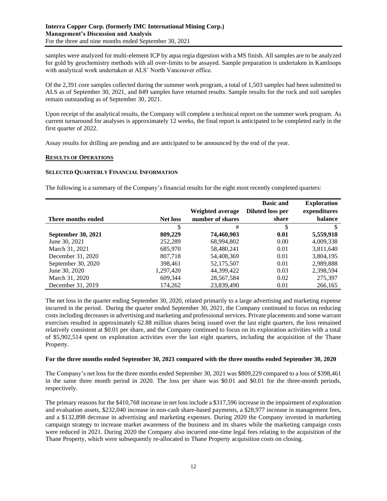samples were analyzed for multi-element ICP by aqua regia digestion with a MS finish. All samples are to be analyzed for gold by geochemistry methods with all over-limits to be assayed. Sample preparation is undertaken in Kamloops with analytical work undertaken at ALS' North Vancouver office.

Of the 2,391 core samples collected during the summer work program, a total of 1,503 samples had been submitted to ALS as of September 30, 2021, and 849 samples have returned results. Sample results for the rock and soil samples remain outstanding as of September 30, 2021.

Upon receipt of the analytical results, the Company will complete a technical report on the summer work program. As current turnaround for analyses is approximately 12 weeks, the final report is anticipated to be completed early in the first quarter of 2022.

Assay results for drilling are pending and are anticipated to be announced by the end of the year.

#### **RESULTS OF OPERATIONS**

#### **SELECTED QUARTERLY FINANCIAL INFORMATION**

The following is a summary of the Company's financial results for the eight most recently completed quarters:

|                           |                 |                  | <b>Basic and</b> | <b>Exploration</b> |
|---------------------------|-----------------|------------------|------------------|--------------------|
|                           |                 | Weighted average | Diluted loss per | expenditures       |
| Three months ended        | <b>Net loss</b> | number of shares | share            | balance            |
|                           |                 | #                | S                |                    |
| <b>September 30, 2021</b> | 809,229         | 74,460,903       | 0.01             | 5,559,918          |
| June 30, 2021             | 252,289         | 68,994,802       | 0.00             | 4,009,338          |
| March 31, 2021            | 685,970         | 58,480,241       | 0.01             | 3,811,640          |
| December 31, 2020         | 807,718         | 54,408,369       | 0.01             | 3,804,195          |
| September 30, 2020        | 398.461         | 52,175,507       | 0.01             | 2,989,888          |
| June 30, 2020             | 1,297,420       | 44.399.422       | 0.03             | 2,398,594          |
| March 31, 2020            | 609,344         | 28,567,584       | 0.02             | 275.397            |
| December 31, 2019         | 174,262         | 23,839,490       | 0.01             | 266,165            |

The net loss in the quarter ending September 30, 2020, related primarily to a large advertising and marketing expense incurred in the period. During the quarter ended September 30, 2021, the Company continued to focus on reducing costs including decreases in advertising and marketing and professional services. Private placements and some warrant exercises resulted in approximately 62.88 million shares being issued over the last eight quarters, the loss remained relatively consistent at \$0.01 per share, and the Company continued to focus on its exploration activities with a total of \$5,902,514 spent on exploration activities over the last eight quarters, including the acquisition of the Thane Property.

#### **For the three months ended September 30, 2021 compared with the three months ended September 30, 2020**

The Company's net loss for the three months ended September 30, 2021 was \$809,229 compared to a loss of \$398,461 in the same three month period in 2020. The loss per share was \$0.01 and \$0.01 for the three-month periods, respectively.

The primary reasons for the \$410,768 increase in net loss include a \$317,596 increase in the impairment of exploration and evaluation assets, \$232,040 increase in non-cash share-based payments, a \$28,977 increase in management fees, and a \$132,898 decrease in advertising and marketing expenses. During 2020 the Company invested in marketing campaign strategy to increase market awareness of the business and its shares while the marketing campaign costs were reduced in 2021. During 2020 the Company also incurred one-time legal fees relating to the acquisition of the Thane Property, which were subsequently re-allocated to Thane Property acquisition costs on closing.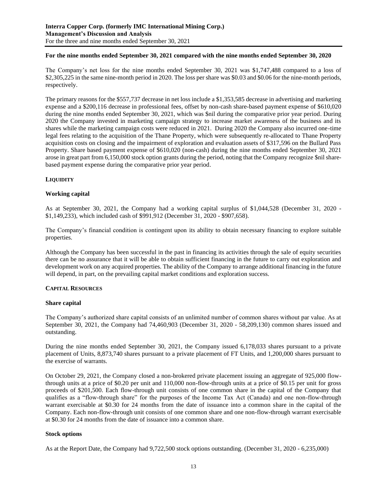# **For the nine months ended September 30, 2021 compared with the nine months ended September 30, 2020**

The Company's net loss for the nine months ended September 30, 2021 was \$1,747,488 compared to a loss of \$2,305,225 in the same nine-month period in 2020. The loss per share was \$0.03 and \$0.06 for the nine-month periods, respectively.

The primary reasons for the \$557,737 decrease in net loss include a \$1,353,585 decrease in advertising and marketing expense and a \$200,116 decrease in professional fees, offset by non-cash share-based payment expense of \$610,020 during the nine months ended September 30, 2021, which was \$nil during the comparative prior year period. During 2020 the Company invested in marketing campaign strategy to increase market awareness of the business and its shares while the marketing campaign costs were reduced in 2021. During 2020 the Company also incurred one-time legal fees relating to the acquisition of the Thane Property, which were subsequently re-allocated to Thane Property acquisition costs on closing and the impairment of exploration and evaluation assets of \$317,596 on the Bullard Pass Property. Share based payment expense of \$610,020 (non-cash) during the nine months ended September 30, 2021 arose in great part from 6,150,000 stock option grants during the period, noting that the Company recognize \$nil sharebased payment expense during the comparative prior year period.

# **LIQUIDITY**

#### **Working capital**

As at September 30, 2021, the Company had a working capital surplus of \$1,044,528 (December 31, 2020 - \$1,149,233), which included cash of \$991,912 (December 31, 2020 - \$907,658).

The Company's financial condition is contingent upon its ability to obtain necessary financing to explore suitable properties.

Although the Company has been successful in the past in financing its activities through the sale of equity securities there can be no assurance that it will be able to obtain sufficient financing in the future to carry out exploration and development work on any acquired properties. The ability of the Company to arrange additional financing in the future will depend, in part, on the prevailing capital market conditions and exploration success.

#### **CAPITAL RESOURCES**

#### **Share capital**

The Company's authorized share capital consists of an unlimited number of common shares without par value. As at September 30, 2021, the Company had 74,460,903 (December 31, 2020 - 58,209,130) common shares issued and outstanding.

During the nine months ended September 30, 2021, the Company issued 6,178,033 shares pursuant to a private placement of Units, 8,873,740 shares pursuant to a private placement of FT Units, and 1,200,000 shares pursuant to the exercise of warrants.

On October 29, 2021, the Company closed a non-brokered private placement issuing an aggregate of 925,000 flowthrough units at a price of \$0.20 per unit and 110,000 non-flow-through units at a price of \$0.15 per unit for gross proceeds of \$201,500. Each flow-through unit consists of one common share in the capital of the Company that qualifies as a "flow-through share" for the purposes of the Income Tax Act (Canada) and one non-flow-through warrant exercisable at \$0.30 for 24 months from the date of issuance into a common share in the capital of the Company. Each non-flow-through unit consists of one common share and one non-flow-through warrant exercisable at \$0.30 for 24 months from the date of issuance into a common share.

#### **Stock options**

As at the Report Date, the Company had 9,722,500 stock options outstanding. (December 31, 2020 - 6,235,000)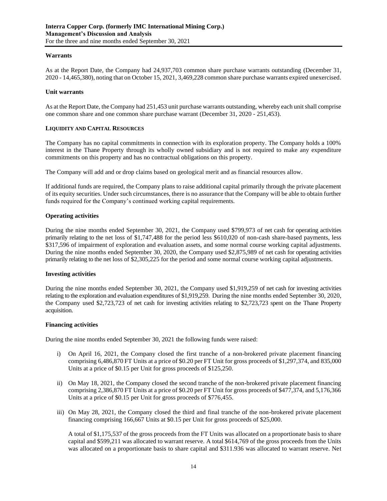# **Warrants**

As at the Report Date, the Company had 24,937,703 common share purchase warrants outstanding (December 31, 2020 - 14,465,380), noting that on October 15, 2021, 3,469,228 common share purchase warrants expired unexercised.

#### **Unit warrants**

As at the Report Date, the Company had 251,453 unit purchase warrants outstanding, whereby each unit shall comprise one common share and one common share purchase warrant (December 31, 2020 - 251,453).

# **LIQUIDITY AND CAPITAL RESOURCES**

The Company has no capital commitments in connection with its exploration property. The Company holds a 100% interest in the Thane Property through its wholly owned subsidiary and is not required to make any expenditure commitments on this property and has no contractual obligations on this property.

The Company will add and or drop claims based on geological merit and as financial resources allow.

If additional funds are required, the Company plans to raise additional capital primarily through the private placement of its equity securities. Under such circumstances, there is no assurance that the Company will be able to obtain further funds required for the Company's continued working capital requirements.

# **Operating activities**

During the nine months ended September 30, 2021, the Company used \$799,973 of net cash for operating activities primarily relating to the net loss of \$1,747,488 for the period less \$610,020 of non-cash share-based payments, less \$317,596 of impairment of exploration and evaluation assets, and some normal course working capital adjustments. During the nine months ended September 30, 2020, the Company used \$2,875,989 of net cash for operating activities primarily relating to the net loss of \$2,305,225 for the period and some normal course working capital adjustments.

#### **Investing activities**

During the nine months ended September 30, 2021, the Company used \$1,919,259 of net cash for investing activities relating to the exploration and evaluation expenditures of \$1,919,259. During the nine months ended September 30, 2020, the Company used \$2,723,723 of net cash for investing activities relating to \$2,723,723 spent on the Thane Property acquisition.

#### **Financing activities**

During the nine months ended September 30, 2021 the following funds were raised:

- i) On April 16, 2021, the Company closed the first tranche of a non-brokered private placement financing comprising 6,486,870 FT Units at a price of \$0.20 per FT Unit for gross proceeds of \$1,297,374, and 835,000 Units at a price of \$0.15 per Unit for gross proceeds of \$125,250.
- ii) On May 18, 2021, the Company closed the second tranche of the non-brokered private placement financing comprising 2,386,870 FT Units at a price of \$0.20 per FT Unit for gross proceeds of \$477,374, and 5,176,366 Units at a price of \$0.15 per Unit for gross proceeds of \$776,455.
- iii) On May 28, 2021, the Company closed the third and final tranche of the non-brokered private placement financing comprising 166,667 Units at \$0.15 per Unit for gross proceeds of \$25,000.

A total of \$1,175,537 of the gross proceeds from the FT Units was allocated on a proportionate basis to share capital and \$599,211 was allocated to warrant reserve. A total \$614,769 of the gross proceeds from the Units was allocated on a proportionate basis to share capital and \$311.936 was allocated to warrant reserve. Net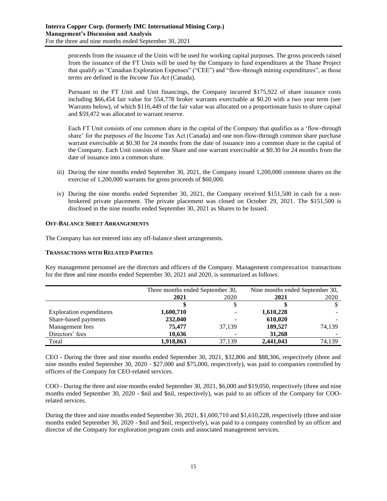proceeds from the issuance of the Units will be used for working capital purposes. The gross proceeds raised from the issuance of the FT Units will be used by the Company to fund expenditures at the Thane Project that qualify as "Canadian Exploration Expenses" ("CEE") and "flow-through mining expenditures", as those terms are defined in the *Income Tax Act* (Canada).

Pursuant to the FT Unit and Unit financings, the Company incurred \$175,922 of share issuance costs including \$66,454 fair value for 554,778 broker warrants exercisable at \$0.20 with a two year term (see Warrants below), of which \$116,449 of the fair value was allocated on a proportionate basis to share capital and \$59,472 was allocated to warrant reserve.

Each FT Unit consists of one common share in the capital of the Company that qualifies as a 'flow-through share' for the purposes of the Income Tax Act (Canada) and one non-flow-through common share purchase warrant exercisable at \$0.30 for 24 months from the date of issuance into a common share in the capital of the Company. Each Unit consists of one Share and one warrant exercisable at \$0.30 for 24 months from the date of issuance into a common share.

- iii) During the nine months ended September 30, 2021, the Company issued 1,200,000 common shares on the exercise of 1,200,000 warrants for gross proceeds of \$60,000.
- iv) During the nine months ended September 30, 2021, the Company received \$151,500 in cash for a nonbrokered private placement. The private placement was closed on October 29, 2021. The \$151,500 is disclosed in the nine months ended September 30, 2021 as Shares to be Issued.

#### **OFF-BALANCE SHEET ARRANGEMENTS**

The Company has not entered into any off-balance sheet arrangements.

# **TRANSACTIONS WITH RELATED PARTIES**

Key management personnel are the directors and officers of the Company. Management compensation transactions for the three and nine months ended September 30, 2021 and 2020, is summarized as follows:

|                          | Three months ended September 30, |        | Nine months ended September 30, |        |
|--------------------------|----------------------------------|--------|---------------------------------|--------|
|                          | 2021                             | 2020   | 2021                            | 2020   |
|                          |                                  |        |                                 |        |
| Exploration expenditures | 1,600,710                        |        | 1,610,228                       |        |
| Share-based payments     | 232,040                          |        | 610,020                         |        |
| Management fees          | 75.477                           | 37.139 | 189,527                         | 74.139 |
| Directors' fees          | 10.636                           |        | 31,268                          |        |
| Total                    | 1,918,863                        | 37,139 | 2,441,043                       | 74.139 |

CEO - During the three and nine months ended September 30, 2021, \$32,806 and \$88,306, respectively (three and nine months ended September 30, 2020 - \$27,000 and \$75,000, respectively), was paid to companies controlled by officers of the Company for CEO-related services.

COO - During the three and nine months ended September 30, 2021, \$6,000 and \$19,050, respectively (three and nine months ended September 30, 2020 - \$nil and \$nil, respectively), was paid to an officer of the Company for COOrelated services.

During the three and nine months ended September 30, 2021, \$1,600,710 and \$1,610,228, respectively (three and nine months ended September 30, 2020 - \$nil and \$nil, respectively), was paid to a company controlled by an officer and director of the Company for exploration program costs and associated management services.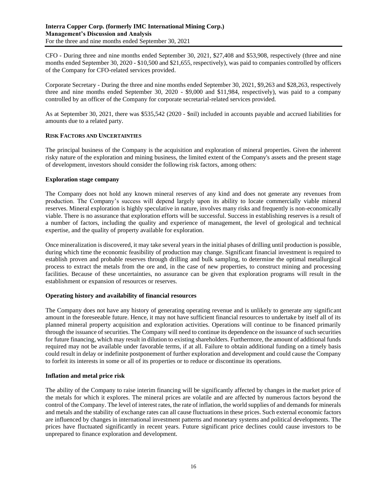CFO - During three and nine months ended September 30, 2021, \$27,408 and \$53,908, respectively (three and nine months ended September 30, 2020 - \$10,500 and \$21,655, respectively), was paid to companies controlled by officers of the Company for CFO-related services provided.

Corporate Secretary - During the three and nine months ended September 30, 2021, \$9,263 and \$28,263, respectively three and nine months ended September 30, 2020 - \$9,000 and \$11,984, respectively), was paid to a company controlled by an officer of the Company for corporate secretarial-related services provided.

As at September 30, 2021, there was \$535,542 (2020 - \$nil) included in accounts payable and accrued liabilities for amounts due to a related party.

# **RISK FACTORS AND UNCERTAINTIES**

The principal business of the Company is the acquisition and exploration of mineral properties. Given the inherent risky nature of the exploration and mining business, the limited extent of the Company's assets and the present stage of development, investors should consider the following risk factors, among others:

# **Exploration stage company**

The Company does not hold any known mineral reserves of any kind and does not generate any revenues from production. The Company's success will depend largely upon its ability to locate commercially viable mineral reserves. Mineral exploration is highly speculative in nature, involves many risks and frequently is non-economically viable. There is no assurance that exploration efforts will be successful. Success in establishing reserves is a result of a number of factors, including the quality and experience of management, the level of geological and technical expertise, and the quality of property available for exploration.

Once mineralization is discovered, it may take several years in the initial phases of drilling until production is possible, during which time the economic feasibility of production may change. Significant financial investment is required to establish proven and probable reserves through drilling and bulk sampling, to determine the optimal metallurgical process to extract the metals from the ore and, in the case of new properties, to construct mining and processing facilities. Because of these uncertainties, no assurance can be given that exploration programs will result in the establishment or expansion of resources or reserves.

# **Operating history and availability of financial resources**

The Company does not have any history of generating operating revenue and is unlikely to generate any significant amount in the foreseeable future. Hence, it may not have sufficient financial resources to undertake by itself all of its planned mineral property acquisition and exploration activities. Operations will continue to be financed primarily through the issuance of securities. The Company will need to continue its dependence on the issuance of such securities for future financing, which may result in dilution to existing shareholders. Furthermore, the amount of additional funds required may not be available under favorable terms, if at all. Failure to obtain additional funding on a timely basis could result in delay or indefinite postponement of further exploration and development and could cause the Company to forfeit its interests in some or all of its properties or to reduce or discontinue its operations.

# **Inflation and metal price risk**

The ability of the Company to raise interim financing will be significantly affected by changes in the market price of the metals for which it explores. The mineral prices are volatile and are affected by numerous factors beyond the control of the Company. The level of interest rates, the rate of inflation, the world supplies of and demands for minerals and metals and the stability of exchange rates can all cause fluctuations in these prices. Such external economic factors are influenced by changes in international investment patterns and monetary systems and political developments. The prices have fluctuated significantly in recent years. Future significant price declines could cause investors to be unprepared to finance exploration and development.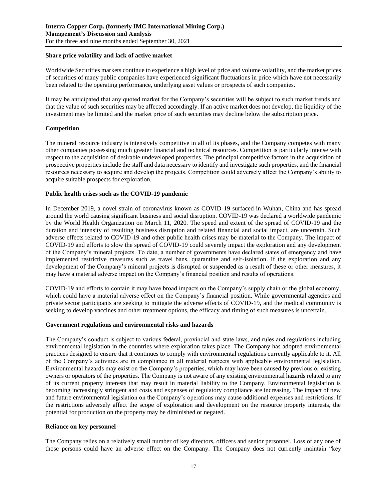# **Share price volatility and lack of active market**

Worldwide Securities markets continue to experience a high level of price and volume volatility, and the market prices of securities of many public companies have experienced significant fluctuations in price which have not necessarily been related to the operating performance, underlying asset values or prospects of such companies.

It may be anticipated that any quoted market for the Company's securities will be subject to such market trends and that the value of such securities may be affected accordingly. If an active market does not develop, the liquidity of the investment may be limited and the market price of such securities may decline below the subscription price.

# **Competition**

The mineral resource industry is intensively competitive in all of its phases, and the Company competes with many other companies possessing much greater financial and technical resources. Competition is particularly intense with respect to the acquisition of desirable undeveloped properties. The principal competitive factors in the acquisition of prospective properties include the staff and data necessary to identify and investigate such properties, and the financial resources necessary to acquire and develop the projects. Competition could adversely affect the Company's ability to acquire suitable prospects for exploration.

# **Public health crises such as the COVID-19 pandemic**

In December 2019, a novel strain of coronavirus known as COVID-19 surfaced in Wuhan, China and has spread around the world causing significant business and social disruption. COVID-19 was declared a worldwide pandemic by the World Health Organization on March 11, 2020. The speed and extent of the spread of COVID-19 and the duration and intensity of resulting business disruption and related financial and social impact, are uncertain. Such adverse effects related to COVID-19 and other public health crises may be material to the Company. The impact of COVID-19 and efforts to slow the spread of COVID-19 could severely impact the exploration and any development of the Company's mineral projects. To date, a number of governments have declared states of emergency and have implemented restrictive measures such as travel bans, quarantine and self-isolation. If the exploration and any development of the Company's mineral projects is disrupted or suspended as a result of these or other measures, it may have a material adverse impact on the Company's financial position and results of operations.

COVID-19 and efforts to contain it may have broad impacts on the Company's supply chain or the global economy, which could have a material adverse effect on the Company's financial position. While governmental agencies and private sector participants are seeking to mitigate the adverse effects of COVID-19, and the medical community is seeking to develop vaccines and other treatment options, the efficacy and timing of such measures is uncertain.

# **Government regulations and environmental risks and hazards**

The Company's conduct is subject to various federal, provincial and state laws, and rules and regulations including environmental legislation in the countries where exploration takes place. The Company has adopted environmental practices designed to ensure that it continues to comply with environmental regulations currently applicable to it. All of the Company's activities are in compliance in all material respects with applicable environmental legislation. Environmental hazards may exist on the Company's properties, which may have been caused by previous or existing owners or operators of the properties. The Company is not aware of any existing environmental hazards related to any of its current property interests that may result in material liability to the Company. Environmental legislation is becoming increasingly stringent and costs and expenses of regulatory compliance are increasing. The impact of new and future environmental legislation on the Company's operations may cause additional expenses and restrictions. If the restrictions adversely affect the scope of exploration and development on the resource property interests, the potential for production on the property may be diminished or negated.

#### **Reliance on key personnel**

The Company relies on a relatively small number of key directors, officers and senior personnel. Loss of any one of those persons could have an adverse effect on the Company. The Company does not currently maintain "key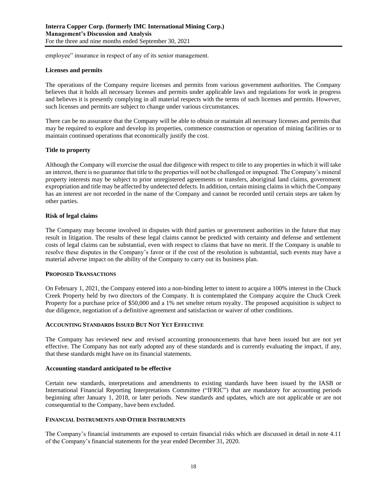employee" insurance in respect of any of its senior management.

# **Licenses and permits**

The operations of the Company require licenses and permits from various government authorities. The Company believes that it holds all necessary licenses and permits under applicable laws and regulations for work in progress and believes it is presently complying in all material respects with the terms of such licenses and permits. However, such licenses and permits are subject to change under various circumstances.

There can be no assurance that the Company will be able to obtain or maintain all necessary licenses and permits that may be required to explore and develop its properties, commence construction or operation of mining facilities or to maintain continued operations that economically justify the cost.

# **Title to property**

Although the Company will exercise the usual due diligence with respect to title to any properties in which it will take an interest, there is no guarantee that title to the properties will not be challenged or impugned. The Company's mineral property interests may be subject to prior unregistered agreements or transfers, aboriginal land claims, government expropriation and title may be affected by undetected defects. In addition, certain mining claims in which the Company has an interest are not recorded in the name of the Company and cannot be recorded until certain steps are taken by other parties.

# **Risk of legal claims**

The Company may become involved in disputes with third parties or government authorities in the future that may result in litigation. The results of these legal claims cannot be predicted with certainty and defense and settlement costs of legal claims can be substantial, even with respect to claims that have no merit. If the Company is unable to resolve these disputes in the Company's favor or if the cost of the resolution is substantial, such events may have a material adverse impact on the ability of the Company to carry out its business plan.

#### **PROPOSED TRANSACTIONS**

On February 1, 2021, the Company entered into a non-binding letter to intent to acquire a 100% interest in the Chuck Creek Property held by two directors of the Company. It is contemplated the Company acquire the Chuck Creek Property for a purchase price of \$50,000 and a 1% net smelter return royalty. The proposed acquisition is subject to due diligence, negotiation of a definitive agreement and satisfaction or waiver of other conditions.

#### **ACCOUNTING STANDARDS ISSUED BUT NOT YET EFFECTIVE**

The Company has reviewed new and revised accounting pronouncements that have been issued but are not yet effective. The Company has not early adopted any of these standards and is currently evaluating the impact, if any, that these standards might have on its financial statements.

#### **Accounting standard anticipated to be effective**

Certain new standards, interpretations and amendments to existing standards have been issued by the IASB or International Financial Reporting Interpretations Committee ("IFRIC") that are mandatory for accounting periods beginning after January 1, 2018, or later periods. New standards and updates, which are not applicable or are not consequential to the Company, have been excluded.

#### **FINANCIAL INSTRUMENTS AND OTHER INSTRUMENTS**

The Company's financial instruments are exposed to certain financial risks which are discussed in detail in note 4.11 of the Company's financial statements for the year ended December 31, 2020.